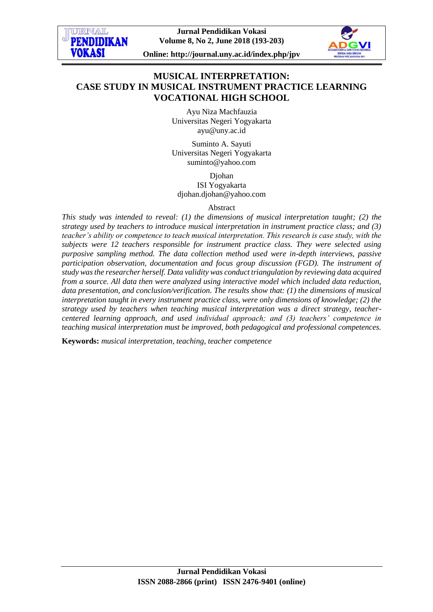**Jurnal Pendidikan Vokasi Volume 8, No 2, June 2018 (193-203)**

URNAI **PENDIDIKAN** 

VOK ASI



**Online: http://journal.uny.ac.id/index.php/jpv**

# **MUSICAL INTERPRETATION: CASE STUDY IN MUSICAL INSTRUMENT PRACTICE LEARNING VOCATIONAL HIGH SCHOOL**

Ayu Niza Machfauzia Universitas Negeri Yogyakarta [ayu@uny.ac.id](mailto:ayu@uny.ac.id)

Suminto A. Sayuti Universitas Negeri Yogyakarta suminto@yahoo.com

Djohan ISI Yogyakarta djohan.djohan@yahoo.com

#### Abstract

*This study was intended to reveal: (1) the dimensions of musical interpretation taught; (2) the strategy used by teachers to introduce musical interpretation in instrument practice class; and (3) teacher's ability or competence to teach musical interpretation. This research is case study, with the subjects were 12 teachers responsible for instrument practice class. They were selected using purposive sampling method. The data collection method used were in-depth interviews, passive participation observation, documentation and focus group discussion (FGD). The instrument of study was the researcher herself. Data validity was conduct triangulation by reviewing data acquired from a source. All data then were analyzed using interactive model which included data reduction, data presentation, and conclusion/verification. The results show that: (1) the dimensions of musical interpretation taught in every instrument practice class, were only dimensions of knowledge; (2) the strategy used by teachers when teaching musical interpretation was a direct strategy, teachercentered learning approach, and used individual approach; and (3) teachers' competence in teaching musical interpretation must be improved, both pedagogical and professional competences.* 

**Keywords:** *musical interpretation, teaching, teacher competence*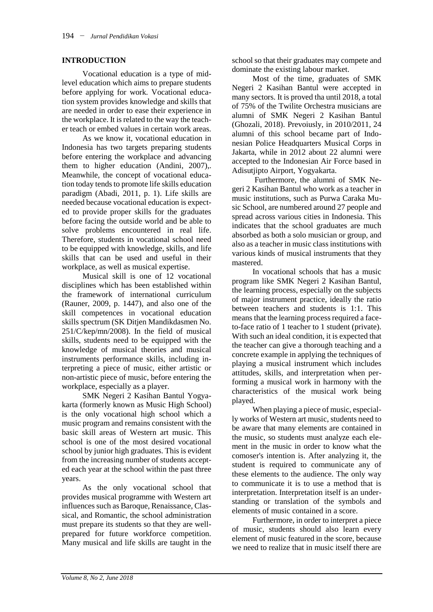### **INTRODUCTION**

Vocational education is a type of midlevel education which aims to prepare students before applying for work. Vocational education system provides knowledge and skills that are needed in order to ease their experience in the workplace. It is related to the way the teacher teach or embed values in certain work areas.

As we know it, vocational education in Indonesia has two targets preparing students before entering the workplace and advancing them to higher education (Andini, 2007),. Meanwhile, the concept of vocational education today tends to promote life skills education paradigm (Abadi, 2011, p. 1). Life skills are needed because vocational education is expected to provide proper skills for the graduates before facing the outside world and be able to solve problems encountered in real life. Therefore, students in vocational school need to be equipped with knowledge, skills, and life skills that can be used and useful in their workplace, as well as musical expertise.

Musical skill is one of 12 vocational disciplines which has been established within the framework of international curriculum (Rauner, 2009, p. 1447), and also one of the skill competences in vocational education skills spectrum (SK Ditjen Mandikdasmen No. 251/C/kep/mn/2008). In the field of musical skills, students need to be equipped with the knowledge of musical theories and musical instruments performance skills, including interpreting a piece of music, either artistic or non-artistic piece of music, before entering the workplace, especially as a player.

SMK Negeri 2 Kasihan Bantul Yogyakarta (formerly known as Music High School) is the only vocational high school which a music program and remains consistent with the basic skill areas of Western art music. This school is one of the most desired vocational school by junior high graduates. This is evident from the increasing number of students accepted each year at the school within the past three years.

As the only vocational school that provides musical programme with Western art influences such as Baroque, Renaissance, Classical, and Romantic, the school administration must prepare its students so that they are wellprepared for future workforce competition. Many musical and life skills are taught in the

school so that their graduates may compete and dominate the existing labour market.

Most of the time, graduates of SMK Negeri 2 Kasihan Bantul were accepted in many sectors. It is proved tha until 2018, a total of 75% of the Twilite Orchestra musicians are alumni of SMK Negeri 2 Kasihan Bantul (Ghozali, 2018). Prevoiusly, in 2010/2011, 24 alumni of this school became part of Indonesian Police Headquarters Musical Corps in Jakarta, while in 2012 about 22 alumni were accepted to the Indonesian Air Force based in Adisutjipto Airport, Yogyakarta.

Furthermore, the alumni of SMK Negeri 2 Kasihan Bantul who work as a teacher in music institutions, such as Purwa Caraka Music School, are numbered around 27 people and spread across various cities in Indonesia. This indicates that the school graduates are much absorbed as both a solo musician or group, and also as a teacher in music class institutions with various kinds of musical instruments that they mastered.

In vocational schools that has a music program like SMK Negeri 2 Kasihan Bantul, the learning process, especially on the subjects of major instrument practice, ideally the ratio between teachers and students is 1:1. This means that the learning process required a faceto-face ratio of 1 teacher to 1 student (private). With such an ideal condition, it is expected that the teacher can give a thorough teaching and a concrete example in applying the techniques of playing a musical instrument which includes attitudes, skills, and interpretation when performing a musical work in harmony with the characteristics of the musical work being played.

When playing a piece of music, especially works of Western art music, students need to be aware that many elements are contained in the music, so students must analyze each element in the music in order to know what the comoser's intention is. After analyzing it, the student is required to communicate any of these elements to the audience. The only way to communicate it is to use a method that is interpretation. Interpretation itself is an understanding or translation of the symbols and elements of music contained in a score.

Furthermore, in order to interpret a piece of music, students should also learn every element of music featured in the score, because we need to realize that in music itself there are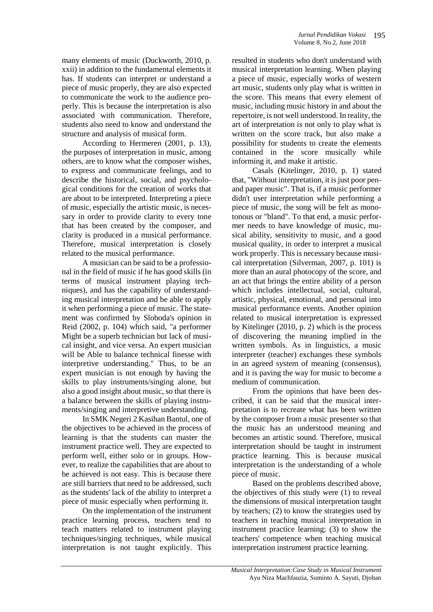many elements of music (Duckworth, 2010, p. xxii) in addition to the fundamental elements it has. If students can interpret or understand a piece of music properly, they are also expected to communicate the work to the audience properly. This is because the interpretation is also associated with communication. Therefore, students also need to know and understand the structure and analysis of musical form.

According to Hermeren (2001, p. 13), the purposes of interpretation in music, among others, are to know what the composer wishes, to express and communicate feelings, and to describe the historical, social, and psychological conditions for the creation of works that are about to be interpreted. Interpreting a piece of music, especially the artistic music, is necessary in order to provide clarity to every tone that has been created by the composer, and clarity is produced in a musical performance. Therefore, musical interpretation is closely related to the musical performance.

A musician can be said to be a professional in the field of music if he has good skills (in terms of musical instrument playing techniques), and has the capability of understanding musical interpretation and be able to apply it when performing a piece of music. The statement was confirmed by Sloboda's opinion in Reid (2002, p. 104) which said, "a performer Might be a superb technician but lack of musical insight, and vice versa. An expert musician will be Able to balance technical finesse with interpretive understanding." Thus, to be an expert musician is not enough by having the skills to play instruments/singing alone, but also a good insight about music, so that there is a balance between the skills of playing instruments/singing and interpretive understanding.

In SMK Negeri 2 Kasihan Bantul, one of the objectives to be achieved in the process of learning is that the students can master the instrument practice well. They are expected to perform well, either solo or in groups. However, to realize the capabilities that are about to be achieved is not easy. This is because there are still barriers that need to be addressed, such as the students' lack of the ability to interpret a piece of music especially when performing it.

On the implementation of the instrument practice learning process, teachers tend to teach matters related to instrument playing techniques/singing techniques, while musical interpretation is not taught explicitly. This

resulted in students who don't understand with musical interpretation learning. When playing a piece of music, especially works of western art music, students only play what is written in the score. This means that every element of music, including music history in and about the repertoire, is not well understood. In reality, the art of interpretation is not only to play what is written on the score track, but also make a possibility for students to create the elements contained in the score musically while informing it, and make it artistic.

Casals (Kitelinger, 2010, p. 1) stated that, "Without interpretation, it is just poor penand paper music". That is, if a music performer didn't user interpretation while performing a piece of music, the song will be felt as monotonous or "bland". To that end, a music performer needs to have knowledge of music, musical ability, sensitivity to music, and a good musical quality, in order to interpret a musical work properly. This is necessary because musical interpretation (Silverman, 2007, p. 101) is more than an aural photocopy of the score, and an act that brings the entire ability of a person which includes intellectual, social, cultural, artistic, physical, emotional, and personal into musical performance events. Another opinion related to musical interpretation is expressed by Kitelinger (2010, p. 2) which is the process of discovering the meaning implied in the written symbols. As in linguistics, a music interpreter (teacher) exchanges these symbols in an agreed system of meaning (consensus), and it is paving the way for music to become a medium of communication.

From the opinions that have been described, it can be said that the musical interpretation is to recreate what has been written by the composer from a music presenter so that the music has an understood meaning and becomes an artistic sound. Therefore, musical interpretation should be taught in instrument practice learning. This is because musical interpretation is the understanding of a whole piece of music.

Based on the problems described above, the objectives of this study were (1) to reveal the dimensions of musical interpretation taught by teachers; (2) to know the strategies used by teachers in teaching musical interpretation in instrument practice learning; (3) to show the teachers' competence when teaching musical interpretation instrument practice learning.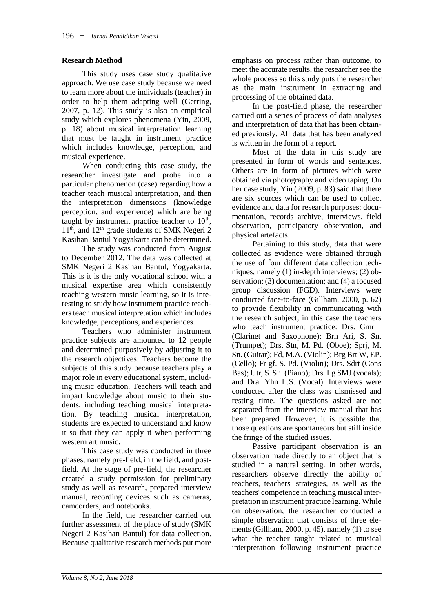# **Research Method**

This study uses case study qualitative approach. We use case study because we need to learn more about the individuals (teacher) in order to help them adapting well (Gerring, 2007, p. 12). This study is also an empirical study which explores phenomena (Yin, 2009, p. 18) about musical interpretation learning that must be taught in instrument practice which includes knowledge, perception, and musical experience.

When conducting this case study, the researcher investigate and probe into a particular phenomenon (case) regarding how a teacher teach musical interpretation, and then the interpretation dimensions (knowledge perception, and experience) which are being taught by instrument practice teacher to  $10<sup>th</sup>$ , 11<sup>th</sup>, and 12<sup>th</sup> grade students of SMK Negeri 2 Kasihan Bantul Yogyakarta can be determined.

The study was conducted from August to December 2012. The data was collected at SMK Negeri 2 Kasihan Bantul, Yogyakarta. This is it is the only vocational school with a musical expertise area which consistently teaching western music learning, so it is interesting to study how instrument practice teachers teach musical interpretation which includes knowledge, perceptions, and experiences.

Teachers who administer instrument practice subjects are amounted to 12 people and determined purposively by adjusting it to the research objectives. Teachers become the subjects of this study because teachers play a major role in every educational system, including music education. Teachers will teach and impart knowledge about music to their students, including teaching musical interpretation. By teaching musical interpretation, students are expected to understand and know it so that they can apply it when performing western art music.

This case study was conducted in three phases, namely pre-field, in the field, and postfield. At the stage of pre-field, the researcher created a study permission for preliminary study as well as research, prepared interview manual, recording devices such as cameras, camcorders, and notebooks.

In the field, the researcher carried out further assessment of the place of study (SMK Negeri 2 Kasihan Bantul) for data collection. Because qualitative research methods put more emphasis on process rather than outcome, to meet the accurate results, the researcher see the whole process so this study puts the researcher as the main instrument in extracting and processing of the obtained data.

In the post-field phase, the researcher carried out a series of process of data analyses and interpretation of data that has been obtained previously. All data that has been analyzed is written in the form of a report.

Most of the data in this study are presented in form of words and sentences. Others are in form of pictures which were obtained via photography and video taping. On her case study, Yin (2009, p. 83) said that there are six sources which can be used to collect evidence and data for research purposes: documentation, records archive, interviews, field observation, participatory observation, and physical artefacts.

Pertaining to this study, data that were collected as evidence were obtained through the use of four different data collection techniques, namely (1) in-depth interviews; (2) observation; (3) documentation; and (4) a focused group discussion (FGD). Interviews were conducted face-to-face (Gillham, 2000, p. 62) to provide flexibility in communicating with the research subject, in this case the teachers who teach instrument practice: Drs. Gmr I (Clarinet and Saxophone); Brn Ari, S. Sn. (Trumpet); Drs. Stn, M. Pd. (Oboe); Sprj, M. Sn. (Guitar); Fd, M.A. (Violin); Brg Brt W, EP. (Cello); Fr gf. S. Pd. (Violin); Drs. Sdrt (Cons Bas); Utr, S. Sn. (Piano); Drs. Lg SMJ (vocals); and Dra. Yhn L.S. (Vocal). Interviews were conducted after the class was dismissed and resting time. The questions asked are not separated from the interview manual that has been prepared. However, it is possible that those questions are spontaneous but still inside the fringe of the studied issues.

Passive participant observation is an observation made directly to an object that is studied in a natural setting. In other words, researchers observe directly the ability of teachers, teachers' strategies, as well as the teachers' competence in teaching musical interpretation in instrument practice learning. While on observation, the researcher conducted a simple observation that consists of three elements (Gillham, 2000, p. 45), namely (1) to see what the teacher taught related to musical interpretation following instrument practice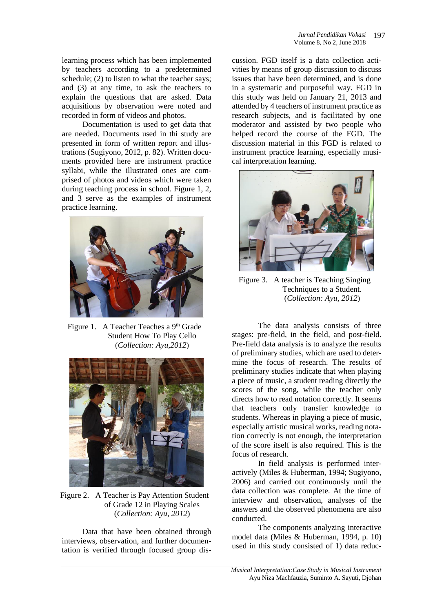learning process which has been implemented by teachers according to a predetermined schedule; (2) to listen to what the teacher says; and (3) at any time, to ask the teachers to explain the questions that are asked. Data acquisitions by observation were noted and recorded in form of videos and photos.

Documentation is used to get data that are needed. Documents used in thi study are presented in form of written report and illustrations (Sugiyono, 2012, p. 82). Written documents provided here are instrument practice syllabi, while the illustrated ones are comprised of photos and videos which were taken during teaching process in school. Figure 1, 2, and 3 serve as the examples of instrument practice learning.



Figure 1. A Teacher Teaches a 9<sup>th</sup> Grade Student How To Play Cello (*Collection: Ayu,2012*)



Figure 2. A Teacher is Pay Attention Student of Grade 12 in Playing Scales (*Collection: Ayu, 2012*)

Data that have been obtained through interviews, observation, and further documentation is verified through focused group dis-

cussion. FGD itself is a data collection activities by means of group discussion to discuss issues that have been determined, and is done in a systematic and purposeful way. FGD in this study was held on January 21, 2013 and attended by 4 teachers of instrument practice as research subjects, and is facilitated by one moderator and assisted by two people who helped record the course of the FGD. The discussion material in this FGD is related to instrument practice learning, especially musical interpretation learning.



Figure 3. A teacher is Teaching Singing Techniques to a Student. (*Collection: Ayu, 2012*)

The data analysis consists of three stages: pre-field, in the field, and post-field. Pre-field data analysis is to analyze the results of preliminary studies, which are used to determine the focus of research. The results of preliminary studies indicate that when playing a piece of music, a student reading directly the scores of the song, while the teacher only directs how to read notation correctly. It seems that teachers only transfer knowledge to students. Whereas in playing a piece of music, especially artistic musical works, reading notation correctly is not enough, the interpretation of the score itself is also required. This is the focus of research.

In field analysis is performed interactively (Miles & Huberman, 1994; Sugiyono, 2006) and carried out continuously until the data collection was complete. At the time of interview and observation, analyses of the answers and the observed phenomena are also conducted.

The components analyzing interactive model data (Miles & Huberman, 1994, p. 10) used in this study consisted of 1) data reduc-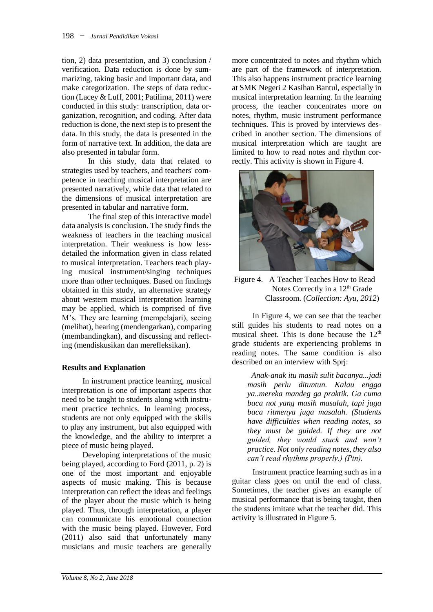tion, 2) data presentation, and 3) conclusion / verification. Data reduction is done by summarizing, taking basic and important data, and make categorization. The steps of data reduction (Lacey & Luff, 2001; Patilima, 2011) were conducted in this study: transcription, data organization, recognition, and coding. After data reduction is done, the next step is to present the data. In this study, the data is presented in the form of narrative text. In addition, the data are also presented in tabular form.

In this study, data that related to strategies used by teachers, and teachers' competence in teaching musical interpretation are presented narratively, while data that related to the dimensions of musical interpretation are presented in tabular and narrative form.

The final step of this interactive model data analysis is conclusion. The study finds the weakness of teachers in the teaching musical interpretation. Their weakness is how lessdetailed the information given in class related to musical interpretation. Teachers teach playing musical instrument/singing techniques more than other techniques. Based on findings obtained in this study, an alternative strategy about western musical interpretation learning may be applied, which is comprised of five M's. They are learning (mempelajari), seeing (melihat), hearing (mendengarkan), comparing (membandingkan), and discussing and reflecting (mendiskusikan dan merefleksikan).

#### **Results and Explanation**

In instrument practice learning, musical interpretation is one of important aspects that need to be taught to students along with instrument practice technics. In learning process, students are not only equipped with the skills to play any instrument, but also equipped with the knowledge, and the ability to interpret a piece of music being played.

Developing interpretations of the music being played, according to Ford (2011, p. 2) is one of the most important and enjoyable aspects of music making. This is because interpretation can reflect the ideas and feelings of the player about the music which is being played. Thus, through interpretation, a player can communicate his emotional connection with the music being played. However, Ford (2011) also said that unfortunately many musicians and music teachers are generally

more concentrated to notes and rhythm which are part of the framework of interpretation. This also happens instrument practice learning at SMK Negeri 2 Kasihan Bantul, especially in musical interpretation learning. In the learning process, the teacher concentrates more on notes, rhythm, music instrument performance techniques. This is proved by interviews described in another section. The dimensions of musical interpretation which are taught are limited to how to read notes and rhythm correctly. This activity is shown in Figure 4.



Figure 4. A Teacher Teaches How to Read Notes Correctly in a 12<sup>th</sup> Grade Classroom. (*Collection: Ayu, 2012*)

In Figure 4, we can see that the teacher still guides his students to read notes on a musical sheet. This is done because the  $12<sup>th</sup>$ grade students are experiencing problems in reading notes. The same condition is also described on an interview with Sprj:

 *Anak-anak itu masih sulit bacanya...jadi masih perlu dituntun. Kalau engga ya..mereka mandeg ga praktik. Ga cuma baca not yang masih masalah, tapi juga baca ritmenya juga masalah. (Students have difficulties when reading notes, so they must be guided. If they are not guided, they would stuck and won't practice. Not only reading notes, they also can't read rhythms properly.) (Ptn).*

Instrument practice learning such as in a guitar class goes on until the end of class. Sometimes, the teacher gives an example of musical performance that is being taught, then the students imitate what the teacher did. This activity is illustrated in Figure 5.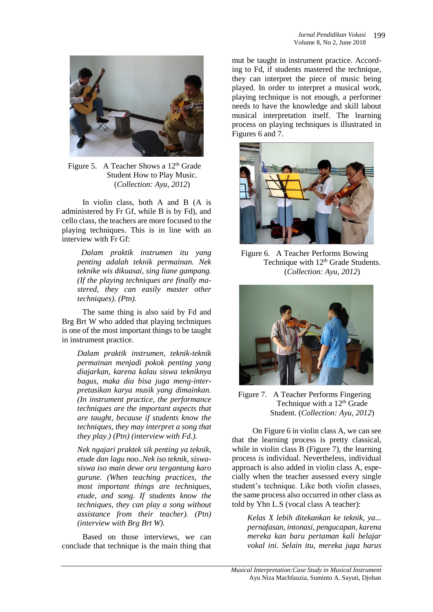

Figure 5. A Teacher Shows a 12<sup>th</sup> Grade Student How to Play Music. (*Collection: Ayu, 2012*)

In violin class, both A and B (A is administered by Fr Gf, while B is by Fd), and cello class, the teachers are more focused to the playing techniques. This is in line with an interview with Fr Gf:

 *Dalam praktik instrumen itu yang penting adalah teknik permainan. Nek teknike wis dikuasai, sing liane gampang. (If the playing techniques are finally mastered, they can easily master other techniques). (Ptn).*

The same thing is also said by Fd and Brg Brt W who added that playing techniques is one of the most important things to be taught in instrument practice.

*Dalam praktik instrumen, teknik-teknik permainan menjadi pokok penting yang diajarkan, karena kalau siswa tekniknya bagus, maka dia bisa juga meng-interpretasikan karya musik yang dimainkan. (In instrument practice, the performance techniques are the important aspects that are taught, because if students know the techniques, they may interpret a song that they play.) (Ptn) (interview with Fd.).*

*Nek ngajari praktek sik penting ya teknik, etude dan lagu noo..Nek iso teknik, siswasiswa iso main dewe ora tergantung karo gurune. (When teaching practices, the most important things are techniques, etude, and song. If students know the techniques, they can play a song without assistance from their teacher). (Ptn) (interview with Brg Brt W).*

Based on those interviews, we can conclude that technique is the main thing that

mut be taught in instrument practice. According to Fd, if students mastered the technique, they can interpret the piece of music being played. In order to interpret a musical work, playing technique is not enough, a performer needs to have the knowledge and skill labout musical interpretation itself. The learning process on playing techniques is illustrated in Figures 6 and 7.



Figure 6. A Teacher Performs Bowing Technique with 12<sup>th</sup> Grade Students. (*Collection: Ayu, 2012*)



Figure 7. A Teacher Performs Fingering Technique with a  $12<sup>th</sup>$  Grade Student. (*Collection: Ayu, 2012*)

On Figure 6 in violin class A, we can see that the learning process is pretty classical, while in violin class B (Figure 7), the learning process is individual. Nevertheless, individual approach is also added in violin class A, especially when the teacher assessed every single student's technique. Like both violin classes, the same process also occurred in other class as told by Yhn L.S (vocal class A teacher):

*Kelas X lebih ditekankan ke teknik, ya... pernafasan, intonasi, pengucapan, karena mereka kan baru pertaman kali belajar vokal ini. Selain itu, mereka juga harus*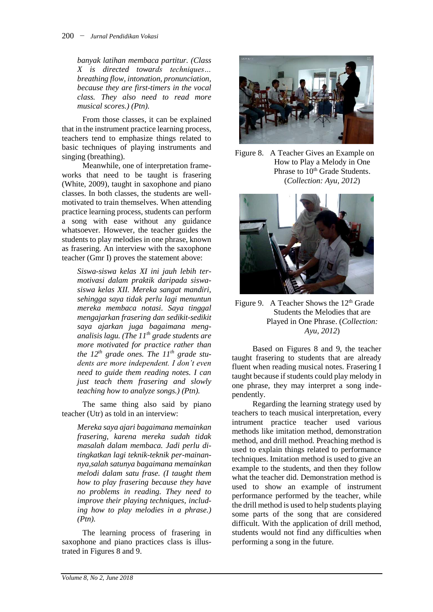*banyak latihan membaca partitur. (Class X is directed towards techniques… breathing flow, intonation, pronunciation, because they are first-timers in the vocal class. They also need to read more musical scores.) (Ptn).*

From those classes, it can be explained that in the instrument practice learning process, teachers tend to emphasize things related to basic techniques of playing instruments and singing (breathing).

Meanwhile, one of interpretation frameworks that need to be taught is frasering (White, 2009), taught in saxophone and piano classes. In both classes, the students are wellmotivated to train themselves. When attending practice learning process, students can perform a song with ease without any guidance whatsoever. However, the teacher guides the students to play melodies in one phrase, known as frasering. An interview with the saxophone teacher (Gmr I) proves the statement above:

*Siswa-siswa kelas XI ini jauh lebih termotivasi dalam praktik daripada siswasiswa kelas XII. Mereka sangat mandiri, sehingga saya tidak perlu lagi menuntun mereka membaca notasi. Saya tinggal mengajarkan frasering dan sedikit-sedikit saya ajarkan juga bagaimana menganalisis lagu. (The 11th grade students are more motivated for practice rather than the 12th grade ones. The 11th grade students are more independent. I don't even need to guide them reading notes. I can just teach them frasering and slowly teaching how to analyze songs.) (Ptn).*

The same thing also said by piano teacher (Utr) as told in an interview:

*Mereka saya ajari bagaimana memainkan frasering, karena mereka sudah tidak masalah dalam membaca. Jadi perlu ditingkatkan lagi teknik-teknik per-mainannya,salah satunya bagaimana memainkan melodi dalam satu frase. (I taught them how to play frasering because they have no problems in reading. They need to improve their playing techniques, including how to play melodies in a phrase.) (Ptn).*

The learning process of frasering in saxophone and piano practices class is illustrated in Figures 8 and 9.



Figure 8. A Teacher Gives an Example on How to Play a Melody in One Phrase to 10<sup>th</sup> Grade Students. (*Collection: Ayu, 2012*)



Figure 9. A Teacher Shows the  $12<sup>th</sup>$  Grade Students the Melodies that are Played in One Phrase. (*Collection: Ayu, 2012*)

Based on Figures 8 and 9, the teacher taught frasering to students that are already fluent when reading musical notes. Frasering I taught because if students could play melody in one phrase, they may interpret a song independently.

Regarding the learning strategy used by teachers to teach musical interpretation, every intrument practice teacher used various methods like imitation method, demonstration method, and drill method. Preaching method is used to explain things related to performance techniques. Imitation method is used to give an example to the students, and then they follow what the teacher did. Demonstration method is used to show an example of instrument performance performed by the teacher, while the drill method is used to help students playing some parts of the song that are considered difficult. With the application of drill method, students would not find any difficulties when performing a song in the future.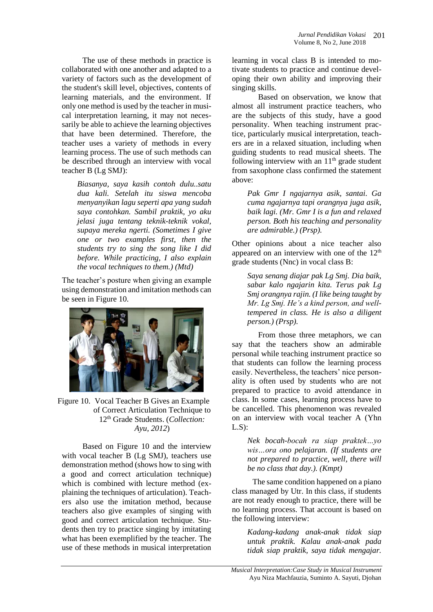The use of these methods in practice is collaborated with one another and adapted to a variety of factors such as the development of the student's skill level, objectives, contents of learning materials, and the environment. If only one method is used by the teacher in musical interpretation learning, it may not necessarily be able to achieve the learning objectives that have been determined. Therefore, the teacher uses a variety of methods in every learning process. The use of such methods can be described through an interview with vocal teacher B (Lg SMJ):

*Biasanya, saya kasih contoh dulu..satu dua kali. Setelah itu siswa mencoba menyanyikan lagu seperti apa yang sudah saya contohkan. Sambil praktik, yo aku jelasi juga tentang teknik-teknik vokal, supaya mereka ngerti. (Sometimes I give one or two examples first, then the students try to sing the song like I did before. While practicing, I also explain the vocal techniques to them.) (Mtd)*

The teacher's posture when giving an example using demonstration and imitation methods can be seen in Figure 10.



Figure 10. Vocal Teacher B Gives an Example of Correct Articulation Technique to 12th Grade Students. (*Collection: Ayu, 2012*)

Based on Figure 10 and the interview with vocal teacher B (Lg SMJ), teachers use demonstration method (shows how to sing with a good and correct articulation technique) which is combined with lecture method (explaining the techniques of articulation). Teachers also use the imitation method, because teachers also give examples of singing with good and correct articulation technique. Students then try to practice singing by imitating what has been exemplified by the teacher. The use of these methods in musical interpretation learning in vocal class B is intended to motivate students to practice and continue developing their own ability and improving their singing skills.

Based on observation, we know that almost all instrument practice teachers, who are the subjects of this study, have a good personality. When teaching instrument practice, particularly musical interpretation, teachers are in a relaxed situation, including when guiding students to read musical sheets. The following interview with an  $11<sup>th</sup>$  grade student from saxophone class confirmed the statement above:

*Pak Gmr I ngajarnya asik, santai. Ga cuma ngajarnya tapi orangnya juga asik, baik lagi. (Mr. Gmr I is a fun and relaxed person. Both his teaching and personality are admirable.) (Prsp).*

Other opinions about a nice teacher also appeared on an interview with one of the  $12<sup>th</sup>$ grade students (Nnc) in vocal class B:

*Saya senang diajar pak Lg Smj. Dia baik, sabar kalo ngajarin kita. Terus pak Lg Smj orangnya rajin. (I like being taught by Mr. Lg Smj. He's a kind person, and welltempered in class. He is also a diligent person.) (Prsp).*

From those three metaphors, we can say that the teachers show an admirable personal while teaching instrument practice so that students can follow the learning process easily. Nevertheless, the teachers' nice personality is often used by students who are not prepared to practice to avoid attendance in class. In some cases, learning process have to be cancelled. This phenomenon was revealed on an interview with vocal teacher A (Yhn  $L.S$ ):

*Nek bocah-bocah ra siap praktek…yo wis…ora ono pelajaran. (If students are not prepared to practice, well, there will be no class that day.). (Kmpt)*

The same condition happened on a piano class managed by Utr. In this class, if students are not ready enough to practice, there will be no learning process. That account is based on the following interview:

*Kadang-kadang anak-anak tidak siap untuk praktik. Kalau anak-anak pada tidak siap praktik, saya tidak mengajar.*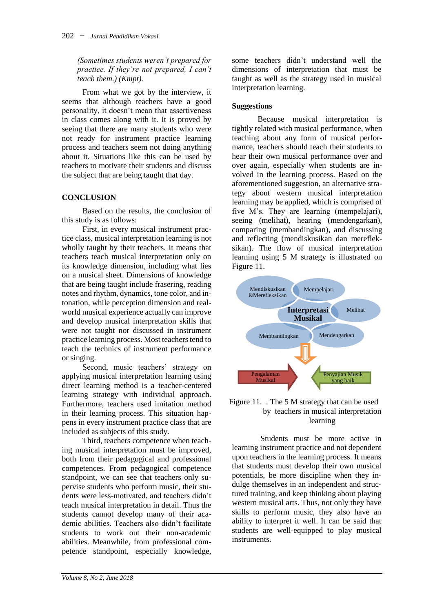*(Sometimes students weren't prepared for practice. If they're not prepared, I can't teach them.) (Kmpt).*

From what we got by the interview, it seems that although teachers have a good personality, it doesn't mean that assertiveness in class comes along with it. It is proved by seeing that there are many students who were not ready for instrument practice learning process and teachers seem not doing anything about it. Situations like this can be used by teachers to motivate their students and discuss the subject that are being taught that day.

# **CONCLUSION**

Based on the results, the conclusion of this study is as follows:

First, in every musical instrument practice class, musical interpretation learning is not wholly taught by their teachers. It means that teachers teach musical interpretation only on its knowledge dimension, including what lies on a musical sheet. Dimensions of knowledge that are being taught include frasering, reading notes and rhythm, dynamics, tone color, and intonation, while perception dimension and realworld musical experience actually can improve and develop musical interpretation skills that were not taught nor discussed in instrument practice learning process. Most teachers tend to teach the technics of instrument performance or singing.

Second, music teachers' strategy on applying musical interpretation learning using direct learning method is a teacher-centered learning strategy with individual approach. Furthermore, teachers used imitation method in their learning process. This situation happens in every instrument practice class that are included as subjects of this study.

Third, teachers competence when teaching musical interpretation must be improved, both from their pedagogical and professional competences. From pedagogical competence standpoint, we can see that teachers only supervise students who perform music, their students were less-motivated, and teachers didn't teach musical interpretation in detail. Thus the students cannot develop many of their academic abilities. Teachers also didn't facilitate students to work out their non-academic abilities. Meanwhile, from professional competence standpoint, especially knowledge,

some teachers didn't understand well the dimensions of interpretation that must be taught as well as the strategy used in musical interpretation learning.

### **Suggestions**

Because musical interpretation is tightly related with musical performance, when teaching about any form of musical performance, teachers should teach their students to hear their own musical performance over and over again, especially when students are involved in the learning process. Based on the aforementioned suggestion, an alternative strategy about western musical interpretation learning may be applied, which is comprised of five M's. They are learning (mempelajari), seeing (melihat), hearing (mendengarkan), comparing (membandingkan), and discussing and reflecting (mendiskusikan dan merefleksikan). The flow of musical interpretation learning using 5 M strategy is illustrated on Figure 11.



### Figure 11. . The 5 M strategy that can be used by teachers in musical interpretation learning

Students must be more active in learning instrument practice and not dependent upon teachers in the learning process. It means that students must develop their own musical potentials, be more discipline when they indulge themselves in an independent and structured training, and keep thinking about playing western musical arts. Thus, not only they have skills to perform music, they also have an ability to interpret it well. It can be said that students are well-equipped to play musical instruments.